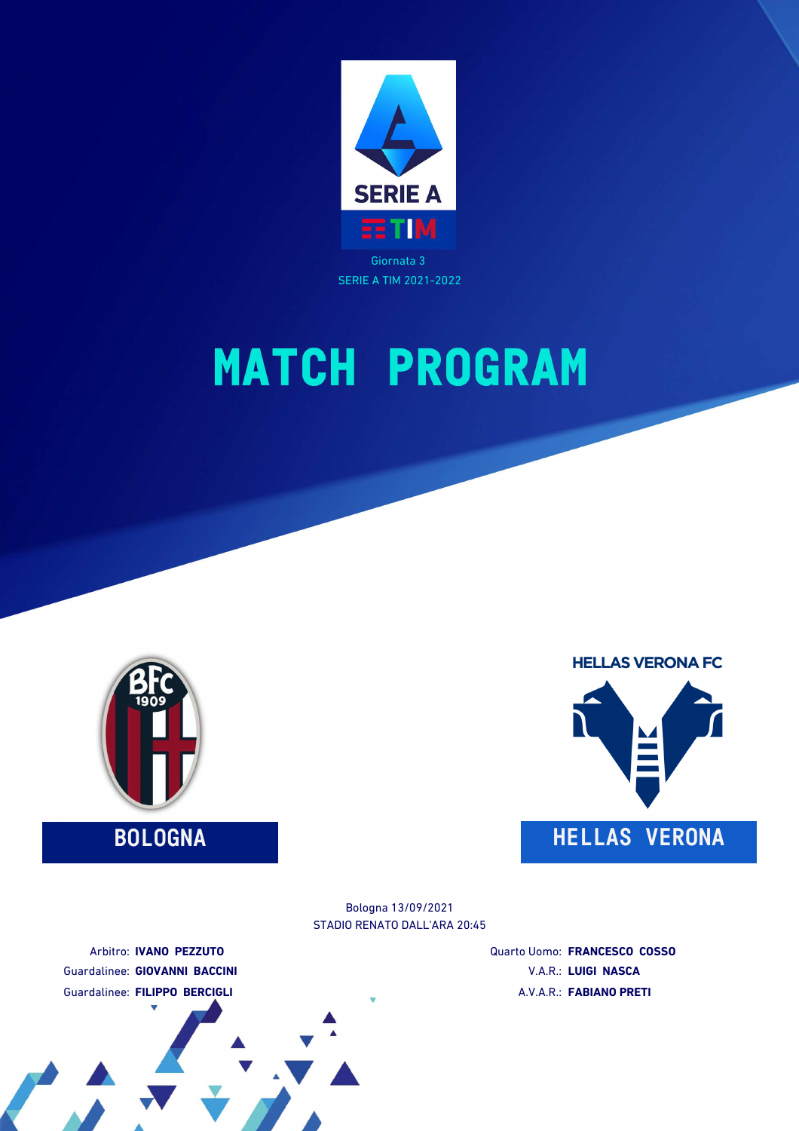

SERIE A TIM 2021-2022

# **MATCH PROGRAM**





STADIO RENATO DALL'ARA 20:45 Bologna 13/09/2021

Arbitro: **IVANO PEZZUTO** Guardalinee: **GIOVANNI BACCINI** Guardalinee: **FILIPPO BERCIGLI**

Quarto Uomo: **FRANCESCO COSSO** V.A.R.: **LUIGI NASCA** A.V.A.R.: **FABIANO PRETI**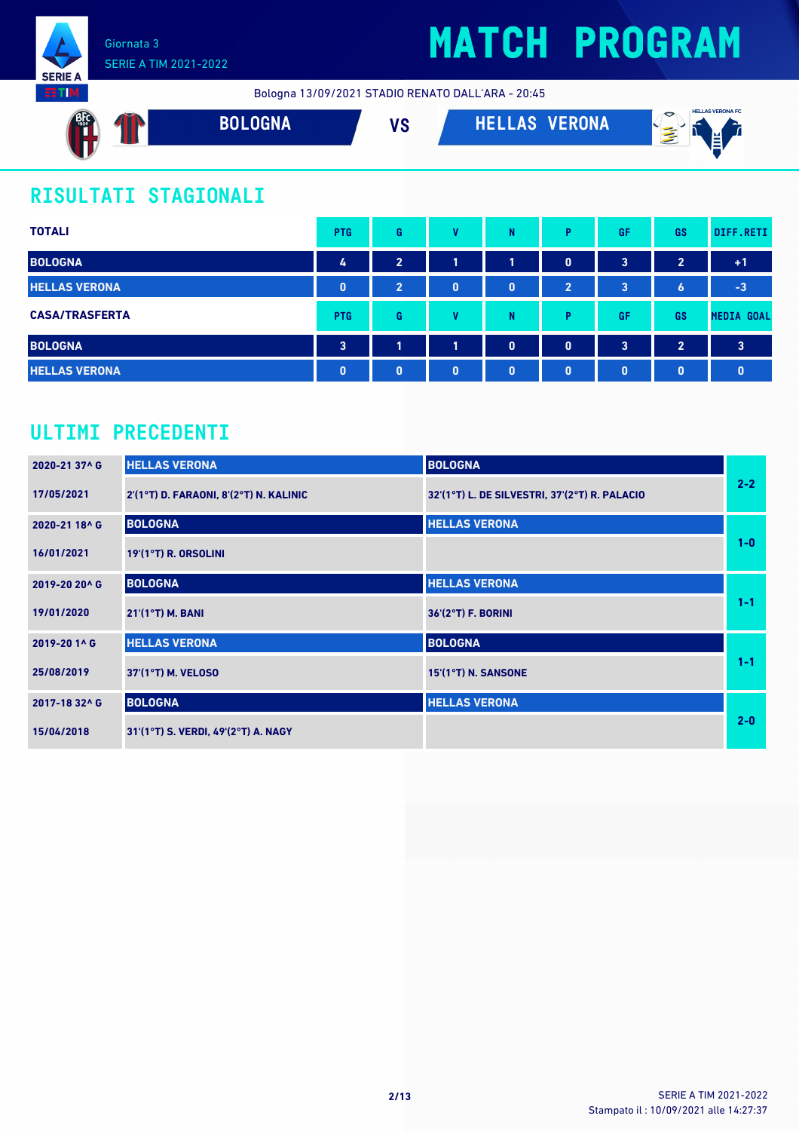

Bologna 13/09/2021 STADIO RENATO DALL'ARA - 20:45



### **RISULTATI STAGIONALI**

| <b>TOTALI</b>         | <b>PTG</b>              | G              | v        | N            | Þ              | GF       | <b>GS</b>           | DIFF.RETI               |
|-----------------------|-------------------------|----------------|----------|--------------|----------------|----------|---------------------|-------------------------|
| <b>BOLOGNA</b>        | 4                       | $\overline{2}$ | 1        | 1            | $\blacksquare$ | 3        | $\overline{2}$      | $+1$                    |
| <b>HELLAS VERONA</b>  | $\mathbf{0}$            | $\overline{2}$ | 0        | $\mathbf{0}$ | 2              | 3        | $\ddot{\mathbf{6}}$ | $-3$                    |
| <b>CASA/TRASFERTA</b> | <b>PTG</b>              | G              | v        | N            | D              | GF       | <b>GS</b>           | <b>MEDIA GOAL</b>       |
| <b>BOLOGNA</b>        | $\overline{\mathbf{3}}$ | 1              | 1        | $\mathbf 0$  | $\mathbf{0}$   | 3        | $\overline{2}$      | $\overline{\mathbf{3}}$ |
| <b>HELLAS VERONA</b>  | $\mathbf{0}$            | $\bf{0}$       | $\bf{0}$ | $\mathbf{0}$ | $\mathbf{0}$   | $\bf{0}$ | $\mathbf{0}$        | $\mathbf{0}$            |

### **ULTIMI PRECEDENTI**

| 2020-21 37^ G | <b>HELLAS VERONA</b>                   | <b>BOLOGNA</b>                                |         |
|---------------|----------------------------------------|-----------------------------------------------|---------|
| 17/05/2021    | 2'(1°T) D. FARAONI, 8'(2°T) N. KALINIC | 32'(1°T) L. DE SILVESTRI, 37'(2°T) R. PALACIO | $2 - 2$ |
| 2020-21 18^ G | <b>BOLOGNA</b>                         | <b>HELLAS VERONA</b>                          |         |
| 16/01/2021    | <b>19'(1°T) R. ORSOLINI</b>            |                                               | $1-0$   |
| 2019-20 20^ G | <b>BOLOGNA</b>                         | <b>HELLAS VERONA</b>                          |         |
| 19/01/2020    | 21'(1°T) M. BANI                       | 36'(2°T) F. BORINI                            | $1 - 1$ |
| 2019-20 1^ G  | <b>HELLAS VERONA</b>                   | <b>BOLOGNA</b>                                |         |
| 25/08/2019    | 37'(1°T) M. VELOSO                     | 15'(1°T) N. SANSONE                           | $1 - 1$ |
| 2017-18 32^ G | <b>BOLOGNA</b>                         | <b>HELLAS VERONA</b>                          |         |
| 15/04/2018    | 31'(1°T) S. VERDI, 49'(2°T) A. NAGY    |                                               | $2 - 0$ |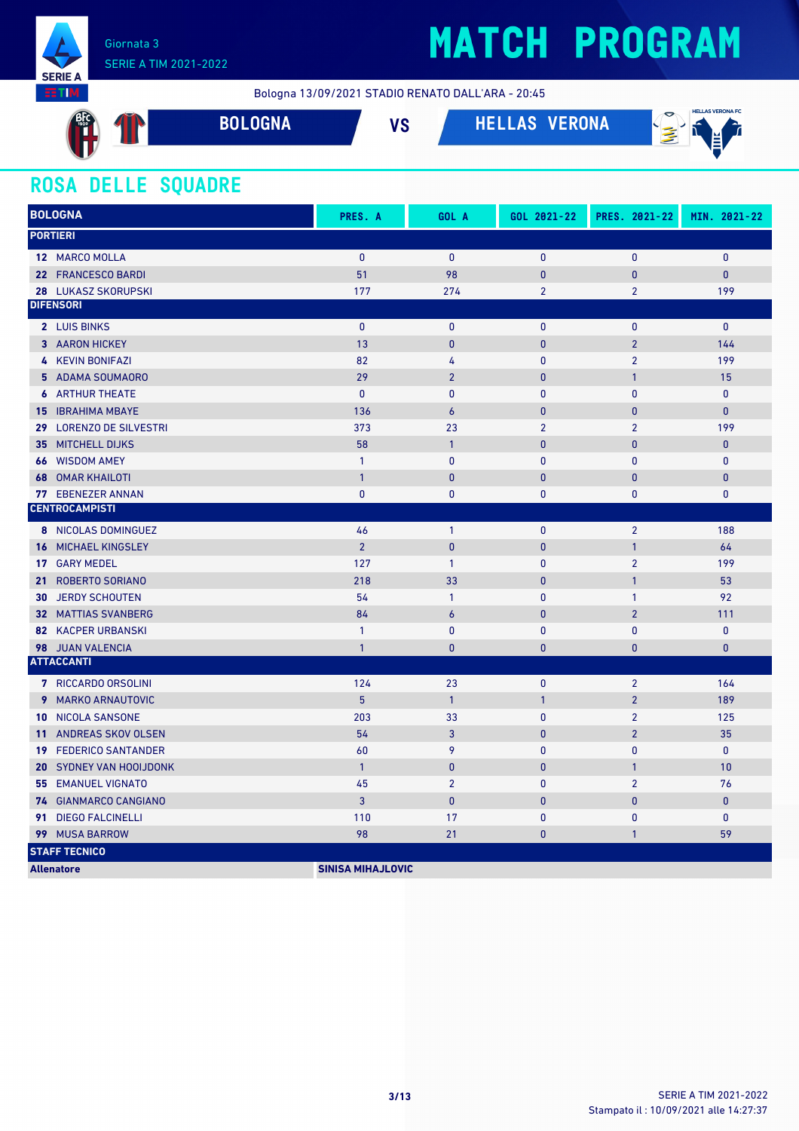

### SERIE A TIM 2021-2022

## **MATCH PROGRAM**

Bologna 13/09/2021 STADIO RENATO DALL'ARA - 20:45

| BIG<br>a s    | <b>BOLOGNA</b> | $\overline{10}$<br>e | <b>VERONA</b><br><b>HELLAS</b> | <b>HELLAS VERONA FC</b><br>≂<br>€<br>''<br>M.<br>$\sim$ |
|---------------|----------------|----------------------|--------------------------------|---------------------------------------------------------|
| $\sim$ $\sim$ |                |                      |                                |                                                         |

### **ROSA DELLE SQUADRE**

| <b>BOLOGNA</b>                            | PRES. A                  | GOL A            | GOL 2021-22    | PRES. 2021-22  | MIN. 2021-22   |
|-------------------------------------------|--------------------------|------------------|----------------|----------------|----------------|
| <b>PORTIERI</b>                           |                          |                  |                |                |                |
| 12 MARCO MOLLA                            | $\mathbf{0}$             | $\mathbf{0}$     | $\mathbf{0}$   | $\mathbf{0}$   | $\pmb{0}$      |
| 22 FRANCESCO BARDI                        | 51                       | 98               | $\mathbf{0}$   | $\mathbf{0}$   | $\mathbf{0}$   |
| 28 LUKASZ SKORUPSKI                       | 177                      | 274              | $\overline{2}$ | $\overline{2}$ | 199            |
| <b>DIFENSORI</b>                          |                          |                  |                |                |                |
| 2 LUIS BINKS                              | $\mathbf{0}$             | $\mathbf{0}$     | $\mathbf{0}$   | $\mathbf{0}$   | $\mathbf{0}$   |
| 3 AARON HICKEY                            | 13                       | $\pmb{0}$        | $\pmb{0}$      | $\overline{2}$ | 144            |
| <b>4 KEVIN BONIFAZI</b>                   | 82                       | 4                | $\mathbf{0}$   | $\overline{2}$ | 199            |
| 5 ADAMA SOUMAORO                          | 29                       | $\overline{2}$   | $\pmb{0}$      | $\mathbf{1}$   | 15             |
| <b>6</b> ARTHUR THEATE                    | $\mathbf{0}$             | $\mathbf{0}$     | $\mathbf{0}$   | $\mathbf{0}$   | $\mathbf{0}$   |
| <b>15 IBRAHIMA MBAYE</b>                  | 136                      | $\boldsymbol{6}$ | $\mathbf{0}$   | $\mathbf{0}$   | $\overline{0}$ |
| <b>LORENZO DE SILVESTRI</b><br>29         | 373                      | 23               | $\overline{2}$ | $\overline{2}$ | 199            |
| <b>MITCHELL DIJKS</b><br>35               | 58                       | $\mathbf{1}$     | $\mathbf{0}$   | $\mathbf{0}$   | $\mathbf{0}$   |
| <b>66 WISDOM AMEY</b>                     | $\mathbf{1}$             | $\mathbf{0}$     | $\mathbf{0}$   | $\mathbf{0}$   | $\mathbf{0}$   |
| <b>OMAR KHAILOTI</b><br>68                | $\overline{1}$           | $\mathbf{0}$     | $\mathbf{0}$   | $\mathbf{0}$   | $\mathbf{0}$   |
| <b>EBENEZER ANNAN</b><br>77               | $\mathbf{0}$             | $\mathbf{0}$     | $\mathbf{0}$   | $\mathbf{0}$   | $\mathbf{0}$   |
| <b>CENTROCAMPISTI</b>                     |                          |                  |                |                |                |
| 8 NICOLAS DOMINGUEZ                       | 46                       | $\mathbf{1}$     | $\mathbf{0}$   | $\overline{2}$ | 188            |
| <b>MICHAEL KINGSLEY</b><br>16             | $\overline{2}$           | $\mathbf{0}$     | $\mathbf{0}$   | $\mathbf{1}$   | 64             |
| 17 GARY MEDEL                             | 127                      | $\mathbf{1}$     | $\mathbf{0}$   | $\overline{2}$ | 199            |
| <b>ROBERTO SORIANO</b><br>21 <sup>2</sup> | 218                      | 33               | $\bf{0}$       | $\mathbf{1}$   | 53             |
| <b>30 JERDY SCHOUTEN</b>                  | 54                       | $\mathbf{1}$     | $\mathbf{0}$   | $\mathbf{1}$   | 92             |
| <b>32 MATTIAS SVANBERG</b>                | 84                       | $\boldsymbol{6}$ | $\pmb{0}$      | $\overline{2}$ | 111            |
| <b>82 KACPER URBANSKI</b>                 | $\mathbf{1}$             | $\mathbf{0}$     | $\mathbf{0}$   | $\mathbf{0}$   | $\mathbf{0}$   |
| 98 JUAN VALENCIA                          | $\mathbf{1}$             | $\mathbf{0}$     | $\bf{0}$       | $\pmb{0}$      | $\pmb{0}$      |
| <b>ATTACCANTI</b>                         |                          |                  |                |                |                |
| 7 RICCARDO ORSOLINI                       | 124                      | 23               | $\mathbf{0}$   | $\overline{2}$ | 164            |
| 9 MARKO ARNAUTOVIC                        | 5 <sup>5</sup>           | $\mathbf{1}$     | $\mathbf{1}$   | $\overline{2}$ | 189            |
| 10 NICOLA SANSONE                         | 203                      | 33               | $\mathbf{0}$   | $\overline{2}$ | 125            |
| ANDREAS SKOV OLSEN<br>11 <sup>1</sup>     | 54                       | 3                | $\bf{0}$       | $\overline{2}$ | 35             |
| <b>FEDERICO SANTANDER</b><br>19           | 60                       | 9                | $\mathbf{0}$   | $\mathbf{0}$   | $\mathbf{0}$   |
| <b>SYDNEY VAN HOOIJDONK</b><br>20         | $\overline{1}$           | $\pmb{0}$        | $\pmb{0}$      | $\mathbf{1}$   | 10             |
| <b>55 EMANUEL VIGNATO</b>                 | 45                       | $\overline{2}$   | $\mathbf{0}$   | $\overline{2}$ | 76             |
| 74 GIANMARCO CANGIANO                     | $\overline{3}$           | $\bf{0}$         | $\pmb{0}$      | $\pmb{0}$      | $\mathbf{0}$   |
| <b>DIEGO FALCINELLI</b><br>91             | 110                      | 17               | $\mathbf{0}$   | $\mathbf{0}$   | 0              |
| 99 MUSA BARROW                            | 98                       | 21               | 0              | $\mathbf{1}$   | 59             |
| <b>STAFF TECNICO</b>                      |                          |                  |                |                |                |
| <b>Allenatore</b>                         | <b>SINISA MIHAJLOVIC</b> |                  |                |                |                |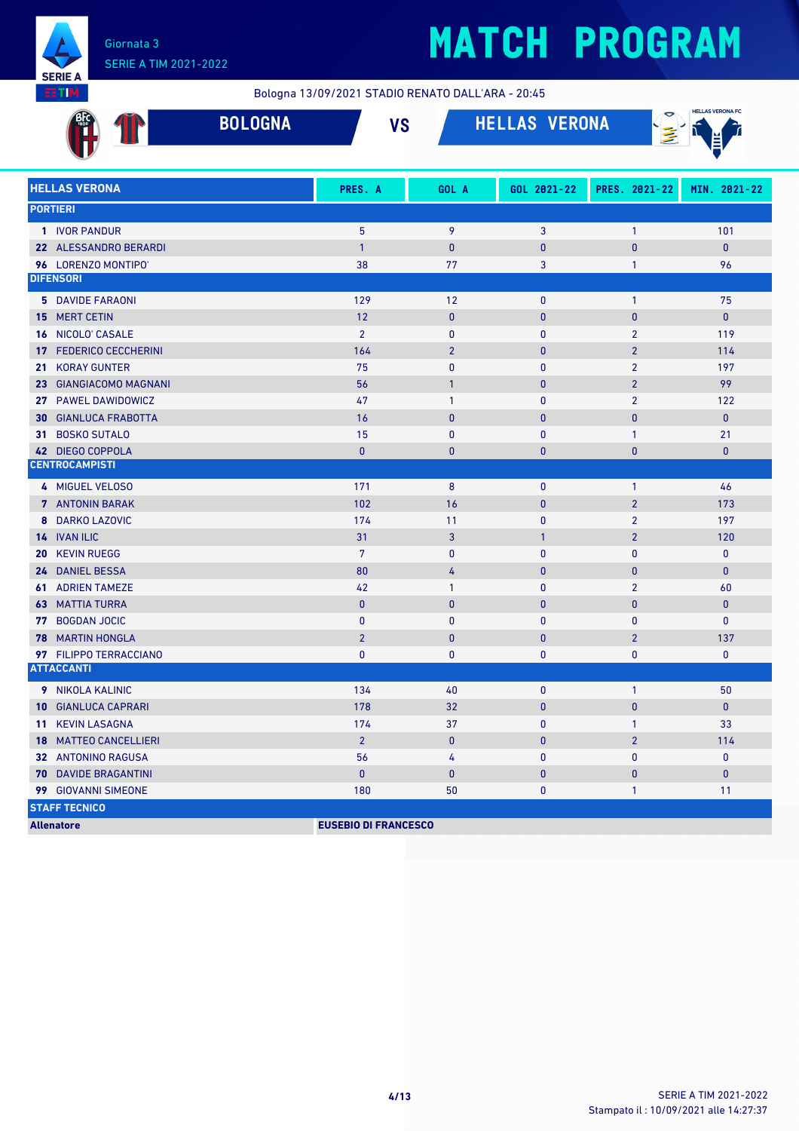

Bologna 13/09/2021 STADIO RENATO DALL'ARA - 20:45

| <b>BOLOGNA</b>                   | <b>VS</b>                   |                | <b>HELLAS VERONA</b> |                | <b>HELLAS VERONA FC</b> |
|----------------------------------|-----------------------------|----------------|----------------------|----------------|-------------------------|
| <b>HELLAS VERONA</b>             | PRES. A                     | GOL A          | GOL 2021-22          | PRES. 2021-22  | MIN. 2021-22            |
| <b>PORTIERI</b>                  |                             |                |                      |                |                         |
| 1 IVOR PANDUR                    | 5                           | 9              | 3                    | $\mathbf{1}$   | 101                     |
| 22 ALESSANDRO BERARDI            | $\mathbf{1}$                | $\mathbf{0}$   | $\pmb{0}$            | $\bf{0}$       | $\mathbf{0}$            |
| 96 LORENZO MONTIPO'              | 38                          | 77             | 3                    | 1              | 96                      |
| <b>DIFENSORI</b>                 |                             |                |                      |                |                         |
| <b>5</b> DAVIDE FARAONI          | 129                         | 12             | $\mathbf{0}$         | $\mathbf{1}$   | 75                      |
| <b>MERT CETIN</b><br>15          | 12                          | $\mathbf{0}$   | $\pmb{0}$            | $\mathbf{0}$   | $\mathbf{0}$            |
| NICOLO' CASALE<br>16             | $\overline{2}$              | $\mathbf 0$    | 0                    | $\overline{2}$ | 119                     |
| <b>FEDERICO CECCHERINI</b><br>17 | 164                         | $\overline{2}$ | $\pmb{0}$            | $\overline{2}$ | 114                     |
| <b>KORAY GUNTER</b><br>21        | 75                          | $\mathbf{0}$   | 0                    | $\overline{2}$ | 197                     |
| <b>GIANGIACOMO MAGNANI</b><br>23 | 56                          | $\overline{1}$ | $\mathbf{0}$         | $\overline{2}$ | 99                      |
| <b>PAWEL DAWIDOWICZ</b><br>27    | 47                          | $\mathbf{1}$   | $\pmb{0}$            | $\overline{2}$ | 122                     |
| <b>GIANLUCA FRABOTTA</b><br>30   | 16                          | $\mathbf{0}$   | $\pmb{0}$            | 0              | $\mathbf{0}$            |
| <b>BOSKO SUTALO</b><br>31        | 15                          | $\mathbf{0}$   | $\mathbf{0}$         | $\mathbf{1}$   | 21                      |
| 42 DIEGO COPPOLA                 | $\mathbf{0}$                | $\mathbf{0}$   | $\mathbf{0}$         | $\mathbf{0}$   | $\bf{0}$                |
| <b>CENTROCAMPISTI</b>            |                             |                |                      |                |                         |
| 4 MIGUEL VELOSO                  | 171                         | 8              | $\bf{0}$             | $\mathbf{1}$   | 46                      |
| 7 ANTONIN BARAK                  | 102                         | 16             | $\pmb{0}$            | $\overline{2}$ | 173                     |
| <b>DARKO LAZOVIC</b><br>8        | 174                         | 11             | 0                    | $\overline{2}$ | 197                     |
| 14 IVAN ILIC                     | 31                          | 3              | $\mathbf{1}$         | $\overline{2}$ | 120                     |
| <b>KEVIN RUEGG</b><br>20         | $\overline{7}$              | $\mathbf{0}$   | $\pmb{0}$            | $\mathbf{0}$   | $\mathbf 0$             |
| 24 DANIEL BESSA                  | 80                          | 4              | $\pmb{0}$            | $\mathbf{0}$   | $\mathbf{0}$            |
| <b>ADRIEN TAMEZE</b><br>61       | 42                          | $\overline{1}$ | $\mathbf{0}$         | $\overline{2}$ | 60                      |
| <b>MATTIA TURRA</b><br>63        | $\mathbf{0}$                | $\mathbf{0}$   | $\pmb{0}$            | $\pmb{0}$      | $\bf{0}$                |
| <b>BOGDAN JOCIC</b><br>77        | $\mathbf{0}$                | $\mathbf{0}$   | 0                    | $\mathbf{0}$   | $\pmb{0}$               |
| <b>MARTIN HONGLA</b><br>78       | $\overline{2}$              | $\mathbf{0}$   | $\mathbf{0}$         | $\overline{2}$ | 137                     |
| 97 FILIPPO TERRACCIANO           | $\mathbf{0}$                | $\mathbf{0}$   | $\mathbf{0}$         | 0              | $\mathbf{0}$            |
| <b>ATTACCANTI</b>                |                             |                |                      |                |                         |
| 9 NIKOLA KALINIC                 | 134                         | 40             | 0                    | 1              | 50                      |
| 10 GIANLUCA CAPRARI              | 178                         | 32             | $\pmb{0}$            | $\pmb{0}$      | $\mathbf 0$             |
| 11 KEVIN LASAGNA                 | 174                         | 37             | 0                    | $\mathbf{1}$   | 33                      |
| <b>18 MATTEO CANCELLIERI</b>     | $\overline{2}$              | $\pmb{0}$      | $\pmb{0}$            | $\overline{2}$ | 114                     |
| 32 ANTONINO RAGUSA               | 56                          | 4              | 0                    | 0              | $\mathbf 0$             |
| <b>70 DAVIDE BRAGANTINI</b>      | $\pmb{0}$                   | $\mathbf 0$    | $\mathbf 0$          | $\mathbf{0}$   | $\pmb{0}$               |
| 99 GIOVANNI SIMEONE              | 180                         | 50             | 0                    | $\mathbf{1}$   | 11                      |
| <b>STAFF TECNICO</b>             |                             |                |                      |                |                         |
| <b>Allenatore</b>                | <b>EUSEBIO DI FRANCESCO</b> |                |                      |                |                         |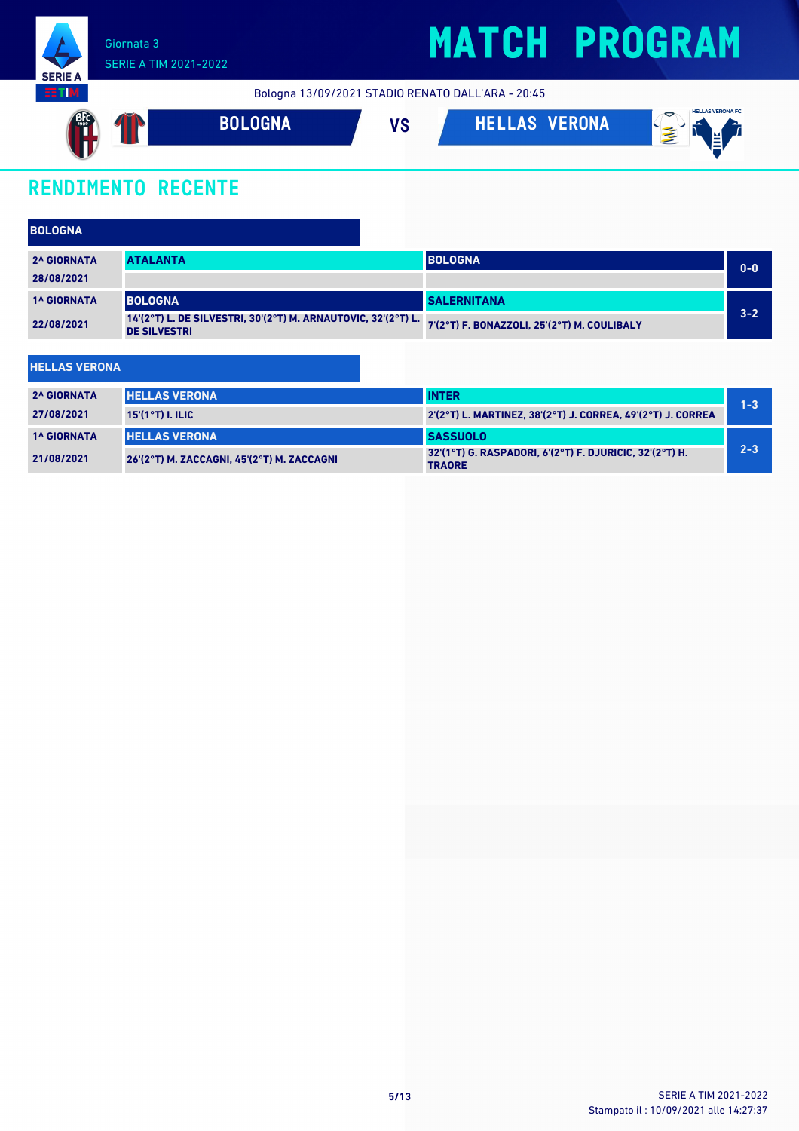

Bologna 13/09/2021 STADIO RENATO DALL'ARA - 20:45



### **RENDIMENTO RECENTE**

**HELLAS VERONA**

| <b>BOLOGNA</b>                                                                                     |                 |                                             |         |
|----------------------------------------------------------------------------------------------------|-----------------|---------------------------------------------|---------|
| <b>2^ GIORNATA</b>                                                                                 | <b>ATALANTA</b> | <b>BOLOGNA</b>                              | $0 - 0$ |
| 28/08/2021                                                                                         |                 |                                             |         |
| <b>1^ GIORNATA</b>                                                                                 | <b>BOLOGNA</b>  | <b>SALERNITANA</b>                          |         |
| 14'(2°T) L. DE SILVESTRI, 30'(2°T) M. ARNAUTOVIC, 32'(2°T) L.<br>22/08/2021<br><b>DE SILVESTRI</b> |                 | 7'(2°T) F. BONAZZOLI, 25'(2°T) M. COULIBALY | $3 - 2$ |
|                                                                                                    |                 |                                             |         |

| <b>2^ GIORNATA</b> | <b>HELLAS VERONA</b>                       | <b>INTER</b>                                                             | $1 - 3$ |
|--------------------|--------------------------------------------|--------------------------------------------------------------------------|---------|
| 27/08/2021         | $15'(1°T)$ I. ILIC                         | 2'(2°T) L. MARTINEZ, 38'(2°T) J. CORREA, 49'(2°T) J. CORREA              |         |
| <b>1^ GIORNATA</b> | <b>HELLAS VERONA</b>                       | <b>SASSUOLO</b>                                                          |         |
| 21/08/2021         | 26'(2°T) M. ZACCAGNI. 45'(2°T) M. ZACCAGNI | 32'(1°T) G. RASPADORI, 6'(2°T) F. DJURICIC, 32'(2°T) H.<br><b>TRAORE</b> | $2 - 3$ |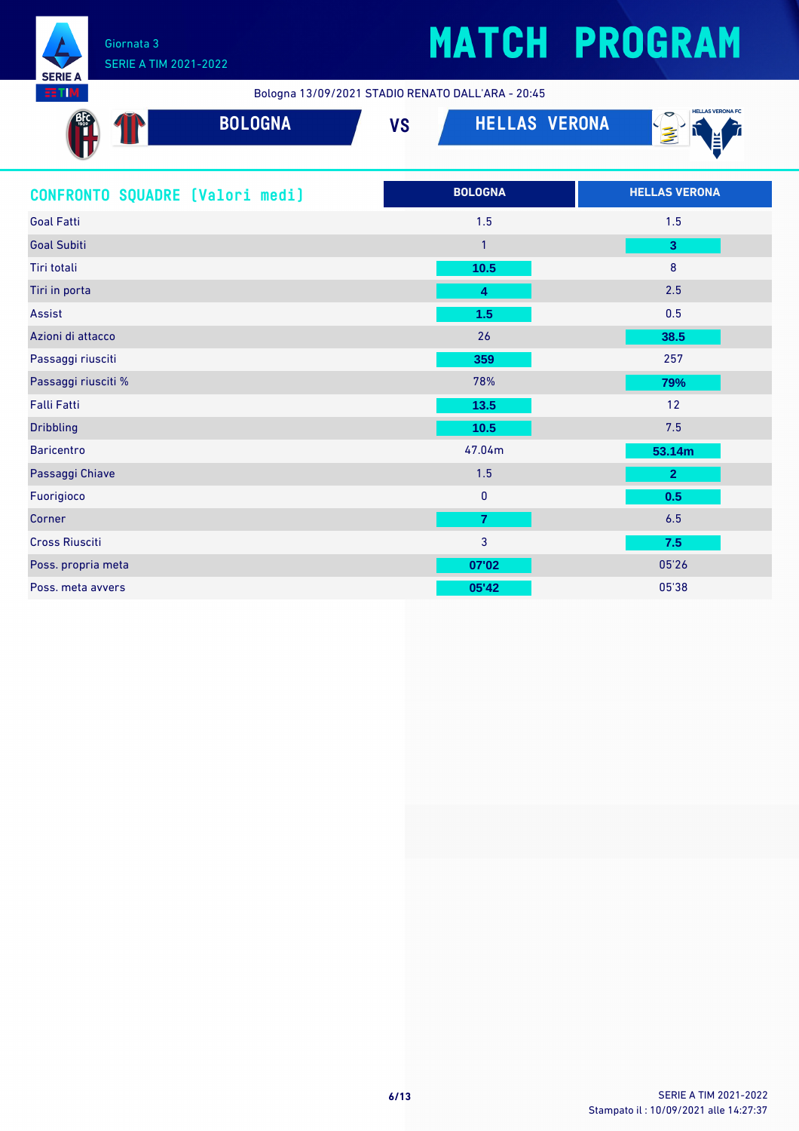

**SFRIF** тı

## **MATCH PROGRAM**

Bologna 13/09/2021 STADIO RENATO DALL'ARA - 20:45

| <b>BOLOGNA</b>                  | <b>HELLAS VERONA</b><br><b>VS</b> | <b>HELLAS VERONA FC</b><br>$\mathbf{E}$ |
|---------------------------------|-----------------------------------|-----------------------------------------|
| CONFRONTO SQUADRE (Valori medi) | <b>BOLOGNA</b>                    | <b>HELLAS VERONA</b>                    |
| <b>Goal Fatti</b>               | 1.5                               | 1.5                                     |
| <b>Goal Subiti</b>              | $\mathbf{1}$                      | 3                                       |
| Tiri totali                     | 10.5                              | 8                                       |
| Tiri in porta                   | 4                                 | 2.5                                     |
| Assist                          | 1.5                               | 0.5                                     |
| Azioni di attacco               | 26                                | 38.5                                    |
| Passaggi riusciti               | 359                               | 257                                     |
| Passaggi riusciti %             | 78%                               | 79%                                     |
| Falli Fatti                     | 13.5                              | 12                                      |
| <b>Dribbling</b>                | 10.5                              | 7.5                                     |
| <b>Baricentro</b>               | 47.04m                            | 53.14m                                  |
| Passaggi Chiave                 | 1.5                               | $\overline{2}$                          |
| Fuorigioco                      | $\pmb{0}$                         | 0.5                                     |
| Corner                          | $\overline{7}$                    | 6.5                                     |
| <b>Cross Riusciti</b>           | 3                                 | 7.5                                     |
| Poss. propria meta              | 07'02                             | 05'26                                   |
| Poss, meta avvers               | 05'42                             | 05'38                                   |
|                                 |                                   |                                         |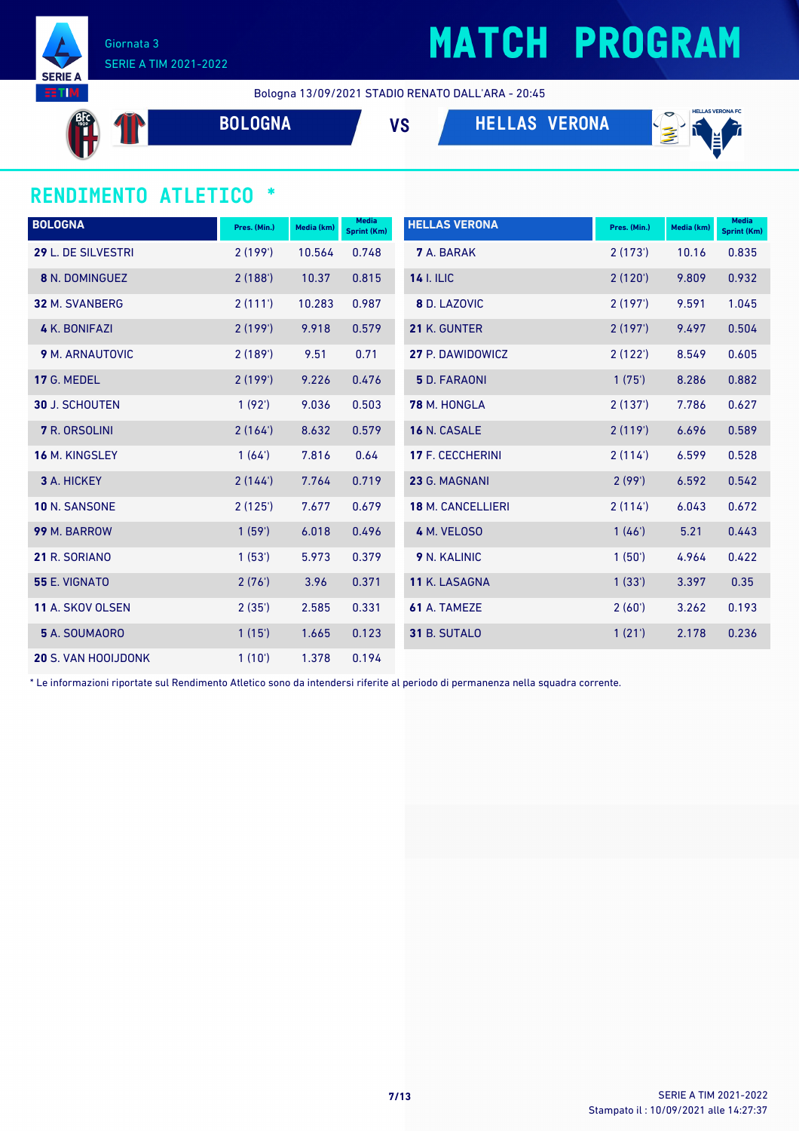

#### Giornata 3 SERIE A TIM 2021-2022

### **MATCH PROGRAM**

Bologna 13/09/2021 STADIO RENATO DALL'ARA - 20:45

**AFC**  $\mathbf{T}$ 

**BOLOGNA VS HELLAS VERONA**



#### **RENDIMENTO ATLETICO \***

| <b>BOLOGNA</b>             | Pres. (Min.) | Media (km) | Media<br><b>Sprint (Km)</b> | <b>HELLAS VERONA</b>     | Pres. (Min.) | Media (km) | <b>Media</b><br><b>Sprint (Km)</b> |
|----------------------------|--------------|------------|-----------------------------|--------------------------|--------------|------------|------------------------------------|
| 29 L. DE SILVESTRI         | 2(199)       | 10.564     | 0.748                       | <b>7</b> A. BARAK        | 2(173)       | 10.16      | 0.835                              |
| <b>8 N. DOMINGUEZ</b>      | 2(188)       | 10.37      | 0.815                       | <b>14 I. ILIC</b>        | 2(120')      | 9.809      | 0.932                              |
| <b>32 M. SVANBERG</b>      | 2(111)       | 10.283     | 0.987                       | 8 D. LAZOVIC             | 2(197)       | 9.591      | 1.045                              |
| 4 K. BONIFAZI              | 2(199)       | 9.918      | 0.579                       | 21 K. GUNTER             | 2(197)       | 9.497      | 0.504                              |
| <b>9 M. ARNAUTOVIC</b>     | 2(189)       | 9.51       | 0.71                        | 27 P. DAWIDOWICZ         | 2(122)       | 8.549      | 0.605                              |
| 17 G. MEDEL                | 2(199)       | 9.226      | 0.476                       | <b>5</b> D. FARAONI      | 1(75)        | 8.286      | 0.882                              |
| <b>30 J. SCHOUTEN</b>      | 1(92)        | 9.036      | 0.503                       | 78 M. HONGLA             | 2(137)       | 7.786      | 0.627                              |
| <b>7</b> R. ORSOLINI       | 2(164)       | 8.632      | 0.579                       | 16 N. CASALE             | 2(119)       | 6.696      | 0.589                              |
| 16 M. KINGSLEY             | 1(64)        | 7.816      | 0.64                        | <b>17 F. CECCHERINI</b>  | 2(114)       | 6.599      | 0.528                              |
| 3 A. HICKEY                | 2(144)       | 7.764      | 0.719                       | 23 G. MAGNANI            | 2(99')       | 6.592      | 0.542                              |
| 10 N. SANSONE              | 2(125)       | 7.677      | 0.679                       | <b>18 M. CANCELLIERI</b> | 2(114)       | 6.043      | 0.672                              |
| 99 M. BARROW               | 1(59)        | 6.018      | 0.496                       | 4 M. VELOSO              | 1(46')       | 5.21       | 0.443                              |
| 21 R. SORIANO              | 1(53)        | 5.973      | 0.379                       | 9 N. KALINIC             | 1(50)        | 4.964      | 0.422                              |
| 55 E. VIGNATO              | 2(76)        | 3.96       | 0.371                       | 11 K. LASAGNA            | 1(33')       | 3.397      | 0.35                               |
| <b>11 A. SKOV OLSEN</b>    | 2(35')       | 2.585      | 0.331                       | 61 A. TAMEZE             | 2(60')       | 3.262      | 0.193                              |
| 5 A. SOUMAORO              | 1(15)        | 1.665      | 0.123                       | 31 B. SUTALO             | 1(21')       | 2.178      | 0.236                              |
| <b>20 S. VAN HOOIJDONK</b> | 1(10')       | 1.378      | 0.194                       |                          |              |            |                                    |

\* Le informazioni riportate sul Rendimento Atletico sono da intendersi riferite al periodo di permanenza nella squadra corrente.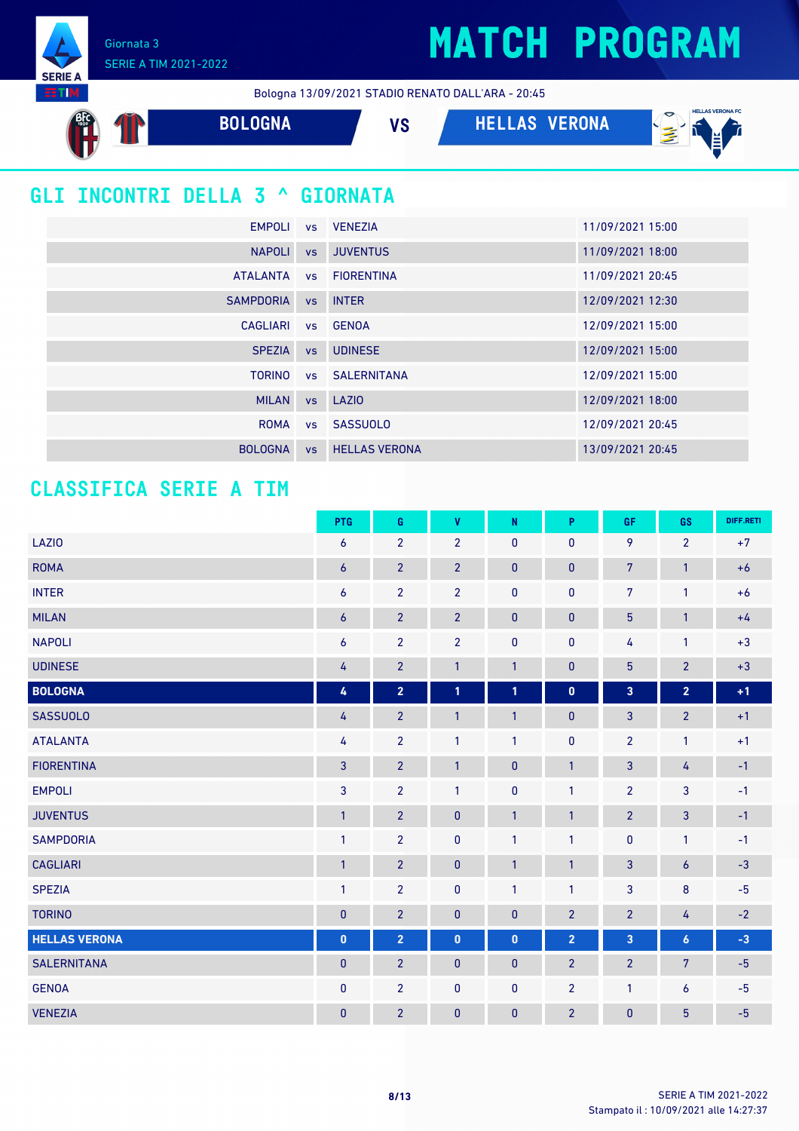Giornata 3 SERIE A TIM 2021-2022

**SERIE EETIM** 

Bologna 13/09/2021 STADIO RENATO DALL'ARA - 20:45

| <b>BOLOGNA</b>                         |           | <b>HELLAS VERONA</b><br><b>VS</b> | <b>HELLAS VERONA FC</b><br>亳<br>Ĕ |
|----------------------------------------|-----------|-----------------------------------|-----------------------------------|
| <b>GLI INCONTRI DELLA 3 ^ GIORNATA</b> |           |                                   |                                   |
| <b>EMPOLI</b>                          | <b>VS</b> | <b>VENEZIA</b>                    | 11/09/2021 15:00                  |
| <b>NAPOLI</b>                          |           | vs JUVENTUS                       | 11/09/2021 18:00                  |
| <b>ATALANTA</b>                        | <b>VS</b> | <b>FIORENTINA</b>                 | 11/09/2021 20:45                  |
| <b>SAMPDORIA</b>                       | <b>VS</b> | <b>INTER</b>                      | 12/09/2021 12:30                  |
| <b>CAGLIARI</b>                        |           | vs GENOA                          | 12/09/2021 15:00                  |
| <b>SPEZIA</b>                          | <b>VS</b> | <b>UDINESE</b>                    | 12/09/2021 15:00                  |
| <b>TORINO</b>                          |           | <b>vs</b> SALERNITANA             | 12/09/2021 15:00                  |
| <b>MILAN</b>                           |           | vs LAZIO                          | 12/09/2021 18:00                  |
| <b>ROMA</b>                            | <b>VS</b> | <b>SASSUOLO</b>                   | 12/09/2021 20:45                  |
| <b>BOLOGNA</b>                         | <b>VS</b> | <b>HELLAS VERONA</b>              | 13/09/2021 20:45                  |

#### **CLASSIFICA SERIE A TIM**

|                      | PTG              | G                       | V              | ${\sf N}$    | P              | GF                      | GS             | DIFF.RETI |
|----------------------|------------------|-------------------------|----------------|--------------|----------------|-------------------------|----------------|-----------|
| <b>LAZIO</b>         | $\overline{6}$   | $\overline{2}$          | $\overline{2}$ | 0            | $\mathbf{0}$   | 9                       | $\overline{2}$ | $+7$      |
| <b>ROMA</b>          | $\boldsymbol{6}$ | $\overline{2}$          | $\overline{2}$ | $\mathbf{0}$ | 0              | $7\overline{ }$         | $\mathbf{1}$   | $+6$      |
| <b>INTER</b>         | $\boldsymbol{6}$ | $\overline{2}$          | $\overline{2}$ | $\mathbf 0$  | $\bf{0}$       | $\overline{7}$          | 1              | $+6$      |
| <b>MILAN</b>         | $\boldsymbol{6}$ | $\overline{2}$          | $\overline{2}$ | $\pmb{0}$    | 0              | $5\phantom{.0}$         | $\mathbf{1}$   | $+4$      |
| <b>NAPOLI</b>        | $\boldsymbol{6}$ | $\overline{2}$          | $\overline{2}$ | 0            | $\bf{0}$       | 4                       | 1              | $+3$      |
| <b>UDINESE</b>       | 4                | $\overline{2}$          | $\mathbf{1}$   | $\mathbf{1}$ | $\pmb{0}$      | $\overline{5}$          | $\overline{2}$ | $+3$      |
| <b>BOLOGNA</b>       | 4                | $\overline{\mathbf{2}}$ | $\mathbf{1}$   | 1            | $\mathbf 0$    | $\overline{\mathbf{3}}$ | $\overline{2}$ | $+1$      |
| <b>SASSUOLO</b>      | 4                | $\overline{2}$          | $\mathbf{1}$   | $\mathbf{1}$ | 0              | $\mathbf{3}$            | $\overline{2}$ | $+1$      |
| <b>ATALANTA</b>      | 4                | $\overline{2}$          | $\mathbf{1}$   | 1            | $\pmb{0}$      | $\overline{2}$          | 1              | $+1$      |
| <b>FIORENTINA</b>    | $\overline{3}$   | $\overline{2}$          | $\mathbf{1}$   | $\pmb{0}$    | $\mathbf{1}$   | $\mathbf{3}$            | 4              | $-1$      |
| <b>EMPOLI</b>        | $\mathbf{3}$     | $\overline{2}$          | $\mathbf{1}$   | $\pmb{0}$    | 1              | $\overline{2}$          | 3              | $-1$      |
| <b>JUVENTUS</b>      | $\mathbf{1}$     | $\overline{2}$          | $\mathbf{0}$   | $\mathbf{1}$ | $\mathbf{1}$   | $\overline{2}$          | 3              | $-1$      |
| <b>SAMPDORIA</b>     | $\mathbf{1}$     | $\overline{2}$          | $\pmb{0}$      | $\mathbf{1}$ | $\mathbf{1}$   | $\pmb{0}$               | 1              | $-1$      |
| <b>CAGLIARI</b>      | $\overline{1}$   | $\overline{2}$          | $\pmb{0}$      | 1            | $\mathbf{1}$   | 3                       | 6              | $-3$      |
| <b>SPEZIA</b>        | $\mathbf{1}$     | $\overline{2}$          | 0              | 1            | $\mathbf{1}$   | $\overline{3}$          | $\bf 8$        | $-5$      |
| <b>TORINO</b>        | $\mathbf{0}$     | $\overline{2}$          | $\mathbf{0}$   | 0            | $\overline{2}$ | $\overline{2}$          | 4              | $-2$      |
| <b>HELLAS VERONA</b> | $\pmb{0}$        | $\overline{2}$          | $\pmb{0}$      | $\mathbf{0}$ | $\overline{2}$ | $\overline{\mathbf{3}}$ | 6              | $-3$      |
| <b>SALERNITANA</b>   | $\pmb{0}$        | $\overline{2}$          | $\pmb{0}$      | $\pmb{0}$    | $\overline{2}$ | $\overline{2}$          | 7              | $-5$      |
| <b>GENOA</b>         | $\mathbf{0}$     | $\overline{2}$          | 0              | $\mathbf{0}$ | $\overline{2}$ | $\mathbf{1}$            | 6              | $-5$      |
| <b>VENEZIA</b>       | $\pmb{0}$        | $\overline{2}$          | $\mathbf{0}$   | $\mathbf{0}$ | $\overline{2}$ | $\pmb{0}$               | 5              | $-5$      |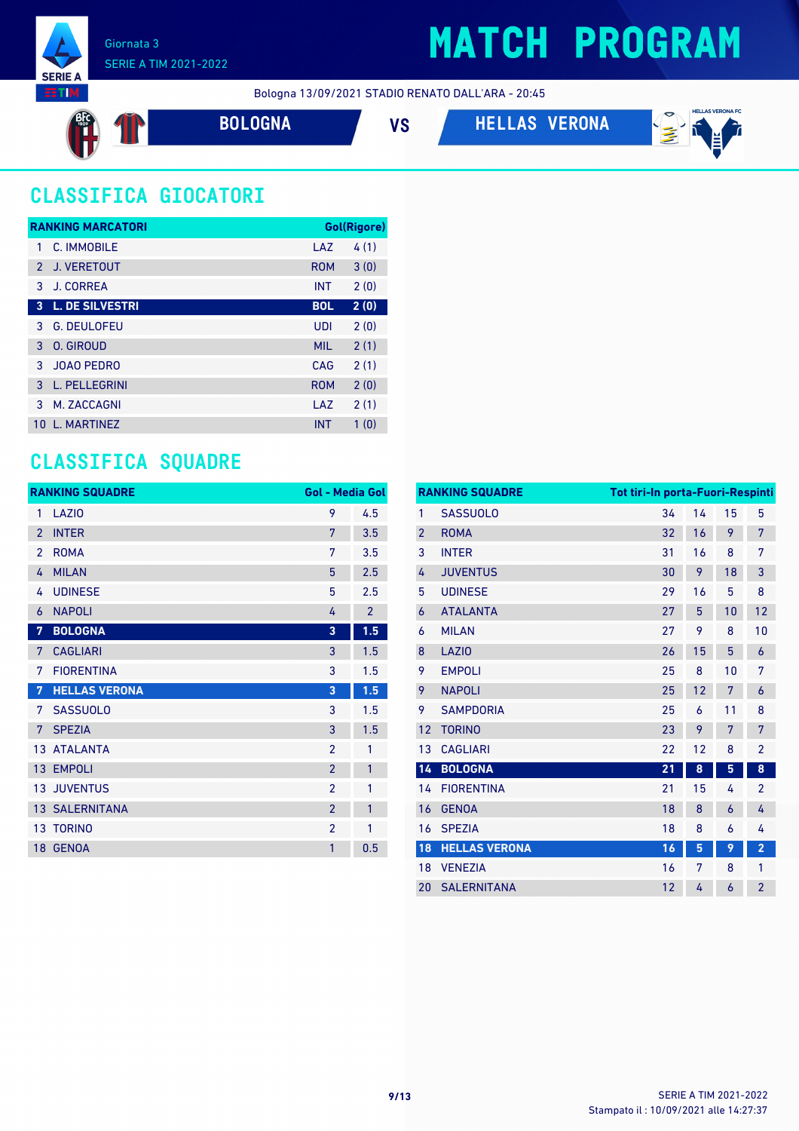

Bologna 13/09/2021 STADIO RENATO DALL'ARA - 20:45



**BOLOGNA VS HELLAS VERONA**



### **CLASSIFICA GIOCATORI**

|               | <b>RANKING MARCATORI</b> |            | Gol(Rigore) |
|---------------|--------------------------|------------|-------------|
|               | C. IMMORILE              | LAZ        | 4(1)        |
| $\mathcal{P}$ | <b>J. VERETOUT</b>       | <b>ROM</b> | 3(0)        |
| 3             | J. CORREA                | <b>INT</b> | 2(0)        |
| 3             | <b>L. DE SILVESTRI</b>   | <b>BOL</b> | 2(0)        |
| 3             | <b>G. DEULOFEU</b>       | UDI        | 2(0)        |
| 3             | O. GIROUD                | <b>MIL</b> | 2(1)        |
| 3             | <b>JOAO PEDRO</b>        | CAG        | 2(1)        |
| 3             | L. PELLEGRINI            | <b>ROM</b> | 2(0)        |
| 3             | M. ZACCAGNI              | LAZ        | 2(1)        |
| 10            | <b>I. MARTINF7</b>       | <b>INT</b> | 1(0)        |

#### **CLASSIFICA SQUADRE**

|                 | <b>RANKING SQUADRE</b> | <b>Gol - Media Gol</b> |                |
|-----------------|------------------------|------------------------|----------------|
| 1               | LAZI <sub>0</sub>      | 9                      | 4.5            |
| $\mathfrak{p}$  | <b>INTER</b>           | 7                      | 3.5            |
| $\mathfrak{p}$  | <b>ROMA</b>            | 7                      | 3.5            |
| 4               | <b>MILAN</b>           | 5                      | 2.5            |
| 4               | <b>UDINESE</b>         | 5                      | 2.5            |
| 6               | <b>NAPOLI</b>          | 4                      | $\overline{2}$ |
| 7               | <b>BOLOGNA</b>         | 3                      | 1.5            |
| 7               | <b>CAGLIARI</b>        | 3                      | 1.5            |
| 7               | <b>FIORENTINA</b>      | 3                      | 1.5            |
| 7               | <b>HELLAS VERONA</b>   | 3                      | 1.5            |
| 7               | <b>SASSUOLO</b>        | 3                      | 1.5            |
| 7               | <b>SPEZIA</b>          | 3                      | 1.5            |
|                 | 13 ATALANTA            | $\overline{2}$         | 1              |
| 13              | <b>EMPOLI</b>          | $\overline{2}$         | 1              |
|                 | <b>13 JUVENTUS</b>     | $\mathfrak{p}$         | 1              |
| 13 <sup>°</sup> | <b>SALERNITANA</b>     | $\overline{2}$         | 1              |
|                 | <b>13 TORINO</b>       | $\overline{2}$         | 1              |
| 18 <sup>°</sup> | <b>GENOA</b>           | 1                      | 0.5            |

| <b>RANKING SQUADRE</b> |                      | Tot tiri-In porta-Fuori-Respinti |    |    |                |
|------------------------|----------------------|----------------------------------|----|----|----------------|
| 1                      | <b>SASSUOLO</b>      | 34                               | 14 | 15 | 5              |
| $\overline{2}$         | <b>ROMA</b>          | 32                               | 16 | 9  | 7              |
| 3                      | <b>INTER</b>         | 31                               | 16 | 8  | 7              |
| 4                      | <b>JUVENTUS</b>      | 30                               | 9  | 18 | 3              |
| 5                      | <b>UDINESE</b>       | 29                               | 16 | 5  | 8              |
| 6                      | <b>ATALANTA</b>      | 27                               | 5  | 10 | 12             |
| 6                      | <b>MILAN</b>         | 27                               | 9  | 8  | 10             |
| 8                      | LAZI <sub>0</sub>    | 26                               | 15 | 5  | 6              |
| 9                      | <b>EMPOLI</b>        | 25                               | 8  | 10 | 7              |
| 9                      | <b>NAPOLI</b>        | 25                               | 12 | 7  | 6              |
| 9                      | <b>SAMPDORIA</b>     | 25                               | 6  | 11 | 8              |
| 12                     | <b>TORINO</b>        | 23                               | 9  | 7  | 7              |
| 13                     | <b>CAGLIARI</b>      | 22                               | 12 | 8  | $\overline{2}$ |
| 14                     | <b>BOLOGNA</b>       | 21                               | 8  | 5  | 8              |
| 14                     | <b>FIORENTINA</b>    | 21                               | 15 | 4  | $\overline{2}$ |
| 16                     | <b>GENOA</b>         | 18                               | 8  | 6  | 4              |
| 16                     | <b>SPEZIA</b>        | 18                               | 8  | 6  | 4              |
| 18                     | <b>HELLAS VERONA</b> | 16                               | 5  | 9  | $\overline{2}$ |
| 18                     | <b>VENEZIA</b>       | 16                               | 7  | 8  | 1              |
| 20                     | <b>SALERNITANA</b>   | 12                               | 4  | 6  | $\overline{2}$ |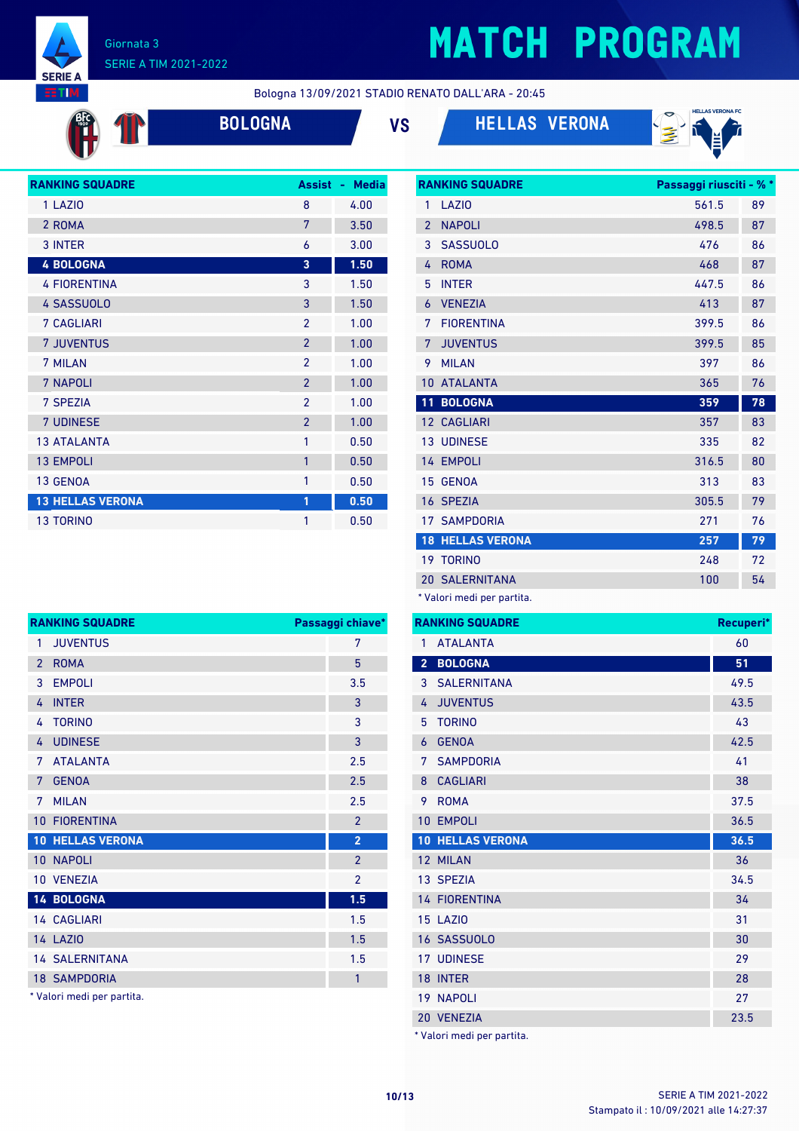

<sup>es</sup> T

#### Giornata 3 SERIE A TIM 2021-2022

# **MATCH PROGRAM**

Bologna 13/09/2021 STADIO RENATO DALL'ARA - 20:45







| <b>RANKING SQUADRE</b>  | <b>Assist</b>            | <b>Media</b><br>$\sim$ |
|-------------------------|--------------------------|------------------------|
| 1 LAZIO                 | 8                        | 4.00                   |
| 2 ROMA                  | 7                        | 3.50                   |
| 3 INTER                 | 6                        | 3.00                   |
| <b>4 BOLOGNA</b>        | 3                        | 1.50                   |
| <b>4 FIORENTINA</b>     | 3                        | 1.50                   |
| <b>4 SASSUOLO</b>       | 3                        | 1.50                   |
| <b>7 CAGLIARI</b>       | $\mathfrak{p}$           | 1.00                   |
| <b>7 JUVENTUS</b>       | $\overline{2}$           | 1.00                   |
| 7 MILAN                 | $\mathfrak{p}$           | 1.00                   |
| 7 NAPOLI                | $\overline{\phantom{a}}$ | 1.00                   |
| 7 SPEZIA                | $\mathfrak{p}$           | 1.00                   |
| <b>7 UDINESE</b>        | $\overline{2}$           | 1.00                   |
| <b>13 ATALANTA</b>      | 1                        | 0.50                   |
| <b>13 EMPOLI</b>        | 1                        | 0.50                   |
| 13 GENOA                | 1                        | 0.50                   |
| <b>13 HELLAS VERONA</b> | 1                        | 0.50                   |
| <b>13 TORINO</b>        | 1                        | 0.50                   |

| <b>RANKING SQUADRE</b><br>Passaggi riusciti - % * |                         |       |    |
|---------------------------------------------------|-------------------------|-------|----|
| 1                                                 | LAZI <sub>0</sub>       | 561.5 | 89 |
| $\overline{2}$                                    | <b>NAPOLI</b>           | 498.5 | 87 |
| 3                                                 | <b>SASSUOLO</b>         | 476   | 86 |
| 4                                                 | <b>ROMA</b>             | 468   | 87 |
| 5                                                 | <b>INTER</b>            | 447.5 | 86 |
| 6                                                 | <b>VENEZIA</b>          | 413   | 87 |
| 7                                                 | <b>FIORENTINA</b>       | 399.5 | 86 |
| 7                                                 | <b>JUVENTUS</b>         | 399.5 | 85 |
| 9                                                 | <b>MILAN</b>            | 397   | 86 |
| 10                                                | <b>ATALANTA</b>         | 365   | 76 |
|                                                   |                         |       |    |
| 11                                                | <b>BOLOGNA</b>          | 359   | 78 |
| 12 <sup>2</sup>                                   | <b>CAGLIARI</b>         | 357   | 83 |
| 13                                                | <b>UDINESE</b>          | 335   | 82 |
|                                                   | 14 EMPOLI               | 316.5 | 80 |
| 15                                                | <b>GENOA</b>            | 313   | 83 |
|                                                   | 16 SPEZIA               | 305.5 | 79 |
|                                                   | 17 SAMPDORIA            | 271   | 76 |
|                                                   | <b>18 HELLAS VERONA</b> | 257   | 79 |
|                                                   | 19 TORINO               | 248   | 72 |
|                                                   | <b>20 SALERNITANA</b>   | 100   | 54 |

|                | <b>RANKING SQUADRE</b>     | Passaggi chiave* |
|----------------|----------------------------|------------------|
| 1              | <b>JUVENTUS</b>            | 7                |
| $\overline{2}$ | <b>ROMA</b>                | $5\overline{)}$  |
| 3              | <b>EMPOLI</b>              | 3.5              |
| 4              | <b>INTER</b>               | 3                |
| 4              | <b>TORINO</b>              | 3                |
| 4              | <b>UDINESE</b>             | 3                |
| 7              | <b>ATALANTA</b>            | 2.5              |
| 7              | <b>GENOA</b>               | 2.5              |
| 7              | <b>MILAN</b>               | 2.5              |
| 10             | <b>FIORENTINA</b>          | $\mathcal{P}$    |
|                | <b>10 HELLAS VERONA</b>    | $\overline{2}$   |
|                | 10 NAPOLI                  | $\overline{2}$   |
|                | 10 VENEZIA                 | $\overline{2}$   |
|                | 14 BOLOGNA                 | 1.5              |
|                | <b>14 CAGLIARI</b>         | 1.5              |
|                | <b>14 LAZIO</b>            | 1.5              |
|                | <b>14 SALERNITANA</b>      | 1.5              |
|                | <b>18 SAMPDORIA</b>        | $\mathbf{1}$     |
|                | * Valori medi per partita. |                  |

|                | <b>RANKING SQUADRE</b>  | Recuperi* |
|----------------|-------------------------|-----------|
| 1              | <b>ATALANTA</b>         | 60        |
| $\overline{2}$ | <b>BOLOGNA</b>          | 51        |
| 3              | <b>SALERNITANA</b>      | 49.5      |
| 4              | <b>JUVENTUS</b>         | 43.5      |
| 5              | <b>TORINO</b>           | 43        |
| $\overline{6}$ | <b>GENOA</b>            | 42.5      |
| 7              | <b>SAMPDORIA</b>        | 41        |
| 8              | <b>CAGLIARI</b>         | 38        |
| 9              | <b>ROMA</b>             | 37.5      |
| 10             | <b>EMPOLI</b>           | 36.5      |
|                | <b>10 HELLAS VERONA</b> | 36.5      |
|                | 12 MILAN                | 36        |
|                | 13 SPEZIA               | 34.5      |
|                | <b>14 FIORENTINA</b>    | 34        |
|                | <b>15 LAZIO</b>         | 31        |
|                | 16 SASSUOLO             | 30        |
|                | <b>17 UDINESE</b>       | 29        |
|                | 18 INTER                | 28        |
|                | <b>19 NAPOLI</b>        | 27        |
|                | 20 VENEZIA              | 23.5      |
| .              |                         |           |

\* Valori medi per partita.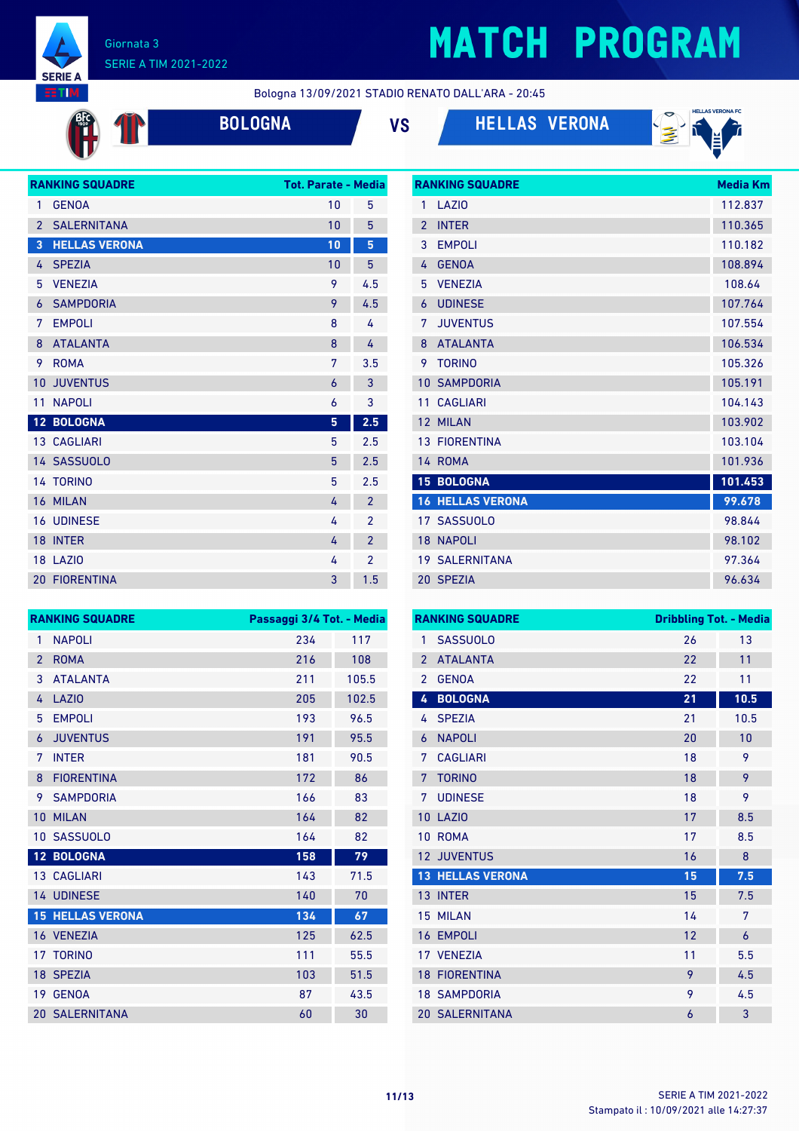

**AFC** 

 $\mathbf T$ 

#### Giornata 3 SERIE A TIM 2021-2022

### **MATCH PROGRAM**

Bologna 13/09/2021 STADIO RENATO DALL'ARA - 20:45







|                | <b>RANKING SQUADRE</b> | <b>Tot. Parate - Media</b> |                |
|----------------|------------------------|----------------------------|----------------|
| 1              | <b>GENOA</b>           | 10                         | 5              |
| $\overline{2}$ | <b>SALERNITANA</b>     | 10                         | 5              |
| 3              | <b>HELLAS VERONA</b>   | 10                         | 5              |
| 4              | <b>SPEZIA</b>          | 10                         | 5              |
| 5              | <b>VENEZIA</b>         | 9                          | 4.5            |
| 6              | <b>SAMPDORIA</b>       | 9                          | 4.5            |
| 7              | <b>EMPOLI</b>          | 8                          | 4              |
| 8              | <b>ATALANTA</b>        | 8                          | 4              |
| 9              | <b>ROMA</b>            | 7                          | 3.5            |
| 10             | <b>JUVENTUS</b>        | 6                          | 3              |
| 11             | <b>NAPOLI</b>          | 6                          | 3              |
|                | 12 BOLOGNA             | 5                          | 2.5            |
|                | <b>13 CAGLIARI</b>     | 5                          | 2.5            |
|                | 14 SASSUOLO            | 5                          | 2.5            |
|                | <b>14 TORINO</b>       | 5                          | 2.5            |
| 16             | <b>MILAN</b>           | 4                          | $\overline{2}$ |
| 16             | <b>UDINESE</b>         | 4                          | $\overline{2}$ |
| 18             | <b>INTER</b>           | 4                          | $\overline{2}$ |
|                | <b>18 LAZIO</b>        | 4                          | $\overline{2}$ |
|                | <b>20 FIORENTINA</b>   | 3                          | 1.5            |

|                 | <b>RANKING SQUADRE</b>  | <b>Media Km</b> |
|-----------------|-------------------------|-----------------|
| 1               | LAZIO                   | 112.837         |
| $\mathfrak{p}$  | <b>INTER</b>            | 110.365         |
| 3               | <b>EMPOLI</b>           | 110.182         |
| 4               | <b>GENOA</b>            | 108.894         |
| 5               | <b>VENEZIA</b>          | 108.64          |
| 6               | <b>UDINESE</b>          | 107.764         |
| 7               | <b>JUVENTUS</b>         | 107.554         |
| 8               | <b>ATALANTA</b>         | 106.534         |
| 9               | <b>TORINO</b>           | 105.326         |
| 10              | <b>SAMPDORIA</b>        | 105.191         |
| 11              | <b>CAGLIARI</b>         | 104.143         |
| 12              | <b>MILAN</b>            | 103.902         |
|                 | <b>13 FIORENTINA</b>    | 103.104         |
|                 | 14 ROMA                 | 101.936         |
|                 | <b>15 BOLOGNA</b>       | 101.453         |
|                 | <b>16 HELLAS VERONA</b> | 99.678          |
|                 | 17 SASSUOLO             | 98.844          |
| 18 <sup>°</sup> | <b>NAPOLI</b>           | 98.102          |
|                 | <b>19 SALERNITANA</b>   | 97.364          |
|                 | 20 SPEZIA               | 96.634          |

|                | <b>RANKING SQUADRE</b>  | Passaggi 3/4 Tot. - Media |       |
|----------------|-------------------------|---------------------------|-------|
| 1              | <b>NAPOLI</b>           | 234                       | 117   |
| $\overline{2}$ | <b>ROMA</b>             | 216                       | 108   |
| 3              | <b>ATAI ANTA</b>        | 211                       | 105.5 |
| 4              | LAZIO                   | 205                       | 102.5 |
| 5              | <b>EMPOLI</b>           | 193                       | 96.5  |
| 6              | <b>JUVENTUS</b>         | 191                       | 95.5  |
| 7              | <b>INTER</b>            | 181                       | 90.5  |
| 8              | <b>FIORENTINA</b>       | 172                       | 86    |
| 9              | <b>SAMPDORIA</b>        | 166                       | 83    |
| 10             | <b>MILAN</b>            | 164                       | 82    |
| $10-1$         | <b>SASSUOLO</b>         | 164                       | 82    |
|                | 12 BOLOGNA              | 158                       | 79    |
|                | <b>13 CAGLIARI</b>      | 143                       | 71.5  |
|                | 14 UDINESE              | 140                       | 70    |
|                | <b>15 HELLAS VERONA</b> | 134                       | 67    |
|                | 16 VENEZIA              | 125                       | 62.5  |
|                | 17 TORINO               | 111                       | 55.5  |
|                | 18 SPEZIA               | 103                       | 51.5  |
| 19             | <b>GENOA</b>            | 87                        | 43.5  |
|                | <b>20 SALERNITANA</b>   | 60                        | 30    |

|                 | <b>RANKING SQUADRE</b>  | <b>Dribbling Tot. - Media</b> |      |
|-----------------|-------------------------|-------------------------------|------|
| 1               | <b>SASSUOLO</b>         | 26                            | 13   |
| $\overline{2}$  | <b>ATALANTA</b>         | 22                            | 11   |
| $\overline{2}$  | <b>GENOA</b>            | 22                            | 11   |
| 4               | <b>BOLOGNA</b>          | 21                            | 10.5 |
| 4               | <b>SPEZIA</b>           | 21                            | 10.5 |
| 6               | <b>NAPOLI</b>           | 20                            | 10   |
| 7               | <b>CAGLIARI</b>         | 18                            | 9    |
| 7               | <b>TORINO</b>           | 18                            | 9    |
| 7               | <b>UDINESE</b>          | 18                            | 9    |
| 10              | LAZI <sub>0</sub>       | 17                            | 8.5  |
| 10              | <b>ROMA</b>             | 17                            | 8.5  |
| 12 <sup>2</sup> | <b>JUVENTUS</b>         | 16                            | 8    |
|                 | <b>13 HELLAS VERONA</b> | 15                            | 7.5  |
|                 | 13 INTER                | 15                            | 7.5  |
|                 | 15 MILAN                | 14                            | 7    |
|                 | <b>16 EMPOLI</b>        | 12                            | 6    |
|                 | 17 VENEZIA              | 11                            | 5.5  |
|                 | <b>18 FIORENTINA</b>    | 9                             | 4.5  |
|                 | <b>18 SAMPDORIA</b>     | 9                             | 4.5  |
|                 | <b>20 SALERNITANA</b>   | 6                             | 3    |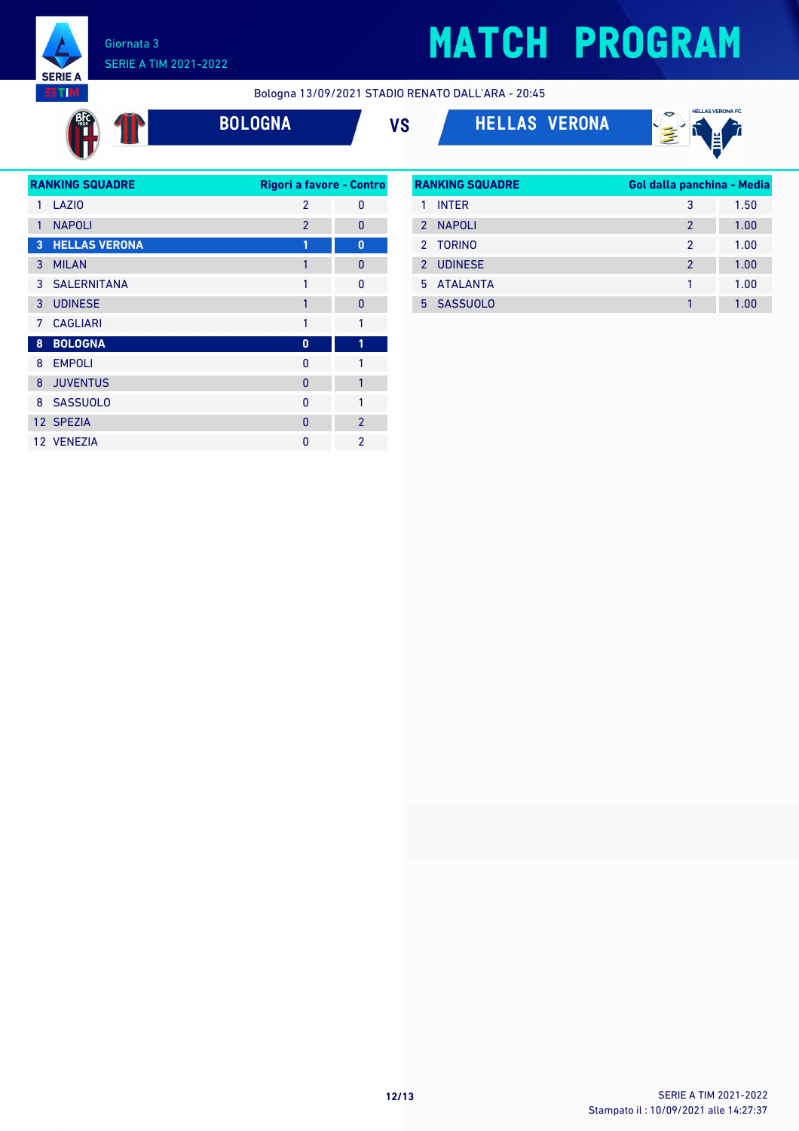

**SERIE A EETIM** #T

Bologna 13/09/2021 STADIO RENATO DALL'ARA - 20:45

**BOLOGNA VS HELLAS VERONA**



| <b>RANKING SQUADRE</b><br>Rigori a favore - Contro |                      |                |                |
|----------------------------------------------------|----------------------|----------------|----------------|
| 1                                                  | LAZIO                | $\mathfrak{p}$ | 0              |
| 1                                                  | <b>NAPOLI</b>        | $\overline{2}$ | 0              |
| 3                                                  | <b>HELLAS VERONA</b> | 1              | $\bf{0}$       |
| 3                                                  | <b>MILAN</b>         | 1              | 0              |
|                                                    | 3 SALERNITANA        | 1              | $\mathbf{0}$   |
| 3                                                  | <b>UDINESE</b>       | 1              | $\mathbf{0}$   |
| 7                                                  | <b>CAGLIARI</b>      | 1              | 1              |
| 8                                                  | <b>BOLOGNA</b>       | 0              | 1              |
| 8                                                  | <b>EMPOLI</b>        | 0              | 1              |
| 8                                                  | <b>JUVENTUS</b>      | 0              | 1              |
|                                                    | 8 SASSUOLO           | 0              | 1              |
|                                                    | 12 SPEZIA            | $\Omega$       | $\overline{2}$ |
|                                                    | 12 VENEZIA           | O              | $\mathfrak{p}$ |

| <b>RANKING SQUADRE</b> |                | Gol dalla panchina - Media |      |
|------------------------|----------------|----------------------------|------|
|                        | <b>INTER</b>   | 3                          | 1.50 |
| $\mathcal{P}$          | <b>NAPOLI</b>  | $\mathcal{P}$              | 1.00 |
|                        | 2 TORINO       | 2                          | 1.00 |
| 2                      | <b>UDINESE</b> | $\mathfrak{p}$             | 1.00 |
|                        | 5 ATAI ANTA    | 1                          | 1.00 |
|                        | 5 SASSUOLO     |                            | 1.00 |